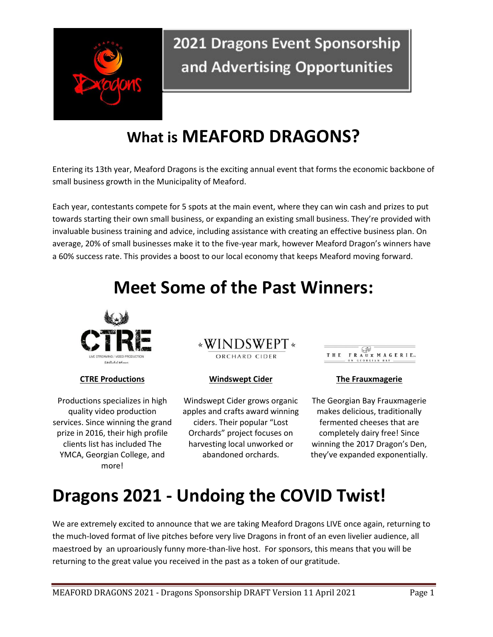

# **What is MEAFORD DRAGONS?**

Entering its 13th year, Meaford Dragons is the exciting annual event that forms the economic backbone of small business growth in the Municipality of Meaford.

Each year, contestants compete for 5 spots at the main event, where they can win cash and prizes to put towards starting their own small business, or expanding an existing small business. They're provided with invaluable business training and advice, including assistance with creating an effective business plan. On average, 20% of small businesses make it to the five-year mark, however Meaford Dragon's winners have a 60% success rate. This provides a boost to our local economy that keeps Meaford moving forward.

# **Meet Some of the Past Winners:**



#### **CTRE Productions Windswept Cider The Frauxmagerie**

Productions specializes in high quality video production services. Since winning the grand prize in 2016, their high profile clients list has included The YMCA, Georgian College, and more!

#### \*WINDSWEPT\* ORCHARD CIDER

Windswept Cider grows organic apples and crafts award winning ciders. Their popular "Lost Orchards" project focuses on harvesting local unworked or abandoned orchards.

THE FRAUX MAGERIE.

The Georgian Bay Frauxmagerie makes delicious, traditionally fermented cheeses that are completely dairy free! Since winning the 2017 Dragon's Den, they've expanded exponentially.

# **Dragons 2021 - Undoing the COVID Twist!**

We are extremely excited to announce that we are taking Meaford Dragons LIVE once again, returning to the much-loved format of live pitches before very live Dragons in front of an even livelier audience, all maestroed by an uproariously funny more-than-live host. For sponsors, this means that you will be returning to the great value you received in the past as a token of our gratitude.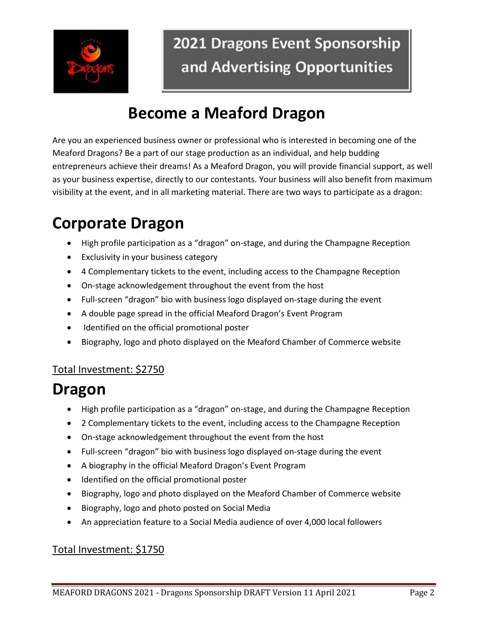

# **Become a Meaford Dragon**

Are you an experienced business owner or professional who is interested in becoming one of the Meaford Dragons? Be a part of our stage production as an individual, and help budding entrepreneurs achieve their dreams! As a Meaford Dragon, you will provide financial support, as well as your business expertise, directly to our contestants. Your business will also benefit from maximum visibility at the event, and in all marketing material. There are two ways to participate as a dragon:

# **Corporate Dragon**

- High profile participation as a "dragon" on-stage, and during the Champagne Reception
- Exclusivity in your business category
- 4 Complementary tickets to the event, including access to the Champagne Reception
- On-stage acknowledgement throughout the event from the host
- Full-screen "dragon" bio with business logo displayed on-stage during the event
- A double page spread in the official Meaford Dragon's Event Program
- Identified on the official promotional poster
- Biography, logo and photo displayed on the Meaford Chamber of Commerce website

#### Total Investment: \$2750

# **Dragon**

- High profile participation as a "dragon" on-stage, and during the Champagne Reception
- 2 Complementary tickets to the event, including access to the Champagne Reception
- On-stage acknowledgement throughout the event from the host
- Full-screen "dragon" bio with business logo displayed on-stage during the event
- A biography in the official Meaford Dragon's Event Program
- Identified on the official promotional poster
- Biography, logo and photo displayed on the Meaford Chamber of Commerce website
- Biography, logo and photo posted on Social Media
- An appreciation feature to a Social Media audience of over 4,000 local followers

#### Total Investment: \$1750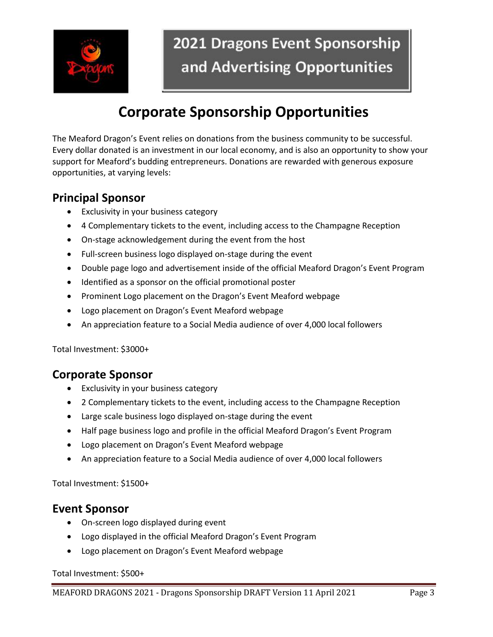

### **Corporate Sponsorship Opportunities**

The Meaford Dragon's Event relies on donations from the business community to be successful. Every dollar donated is an investment in our local economy, and is also an opportunity to show your support for Meaford's budding entrepreneurs. Donations are rewarded with generous exposure opportunities, at varying levels:

### **Principal Sponsor**

- Exclusivity in your business category
- 4 Complementary tickets to the event, including access to the Champagne Reception
- On-stage acknowledgement during the event from the host
- Full-screen business logo displayed on-stage during the event
- Double page logo and advertisement inside of the official Meaford Dragon's Event Program
- Identified as a sponsor on the official promotional poster
- Prominent Logo placement on the Dragon's Event Meaford webpage
- Logo placement on Dragon's Event Meaford webpage
- An appreciation feature to a Social Media audience of over 4,000 local followers

Total Investment: \$3000+

### **Corporate Sponsor**

- Exclusivity in your business category
- 2 Complementary tickets to the event, including access to the Champagne Reception
- Large scale business logo displayed on-stage during the event
- Half page business logo and profile in the official Meaford Dragon's Event Program
- Logo placement on Dragon's Event Meaford webpage
- An appreciation feature to a Social Media audience of over 4,000 local followers

Total Investment: \$1500+

#### **Event Sponsor**

- On-screen logo displayed during event
- Logo displayed in the official Meaford Dragon's Event Program
- Logo placement on Dragon's Event Meaford webpage

#### Total Investment: \$500+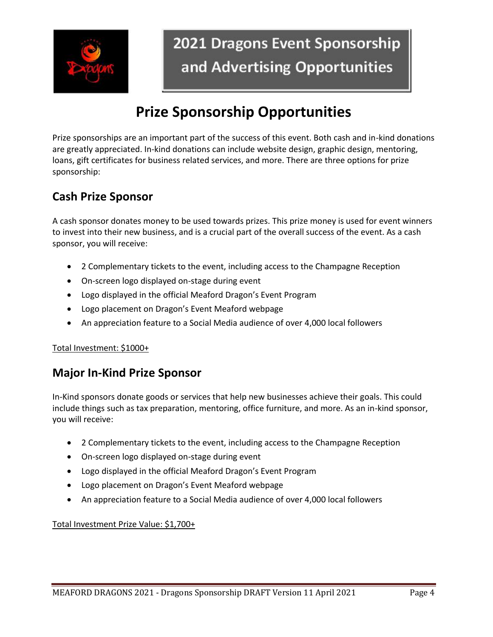

### **Prize Sponsorship Opportunities**

Prize sponsorships are an important part of the success of this event. Both cash and in-kind donations are greatly appreciated. In-kind donations can include website design, graphic design, mentoring, loans, gift certificates for business related services, and more. There are three options for prize sponsorship:

### **Cash Prize Sponsor**

A cash sponsor donates money to be used towards prizes. This prize money is used for event winners to invest into their new business, and is a crucial part of the overall success of the event. As a cash sponsor, you will receive:

- 2 Complementary tickets to the event, including access to the Champagne Reception
- On-screen logo displayed on-stage during event
- Logo displayed in the official Meaford Dragon's Event Program
- Logo placement on Dragon's Event Meaford webpage
- An appreciation feature to a Social Media audience of over 4,000 local followers

#### Total Investment: \$1000+

### **Major In-Kind Prize Sponsor**

In-Kind sponsors donate goods or services that help new businesses achieve their goals. This could include things such as tax preparation, mentoring, office furniture, and more. As an in-kind sponsor, you will receive:

- 2 Complementary tickets to the event, including access to the Champagne Reception
- On-screen logo displayed on-stage during event
- Logo displayed in the official Meaford Dragon's Event Program
- Logo placement on Dragon's Event Meaford webpage
- An appreciation feature to a Social Media audience of over 4,000 local followers

Total Investment Prize Value: \$1,700+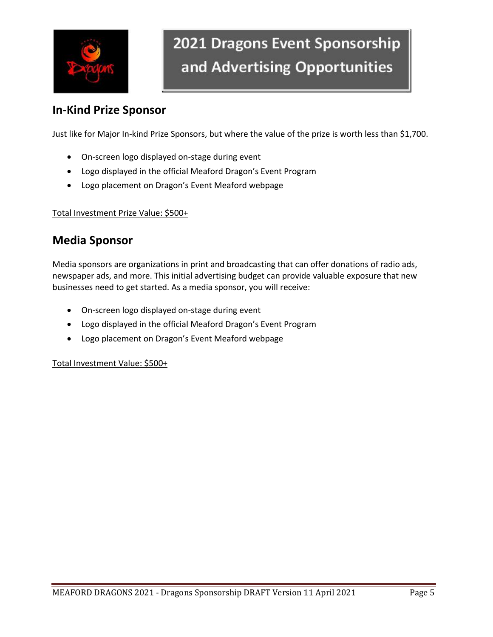

### **In-Kind Prize Sponsor**

Just like for Major In-kind Prize Sponsors, but where the value of the prize is worth less than \$1,700.

- On-screen logo displayed on-stage during event
- Logo displayed in the official Meaford Dragon's Event Program
- Logo placement on Dragon's Event Meaford webpage

Total Investment Prize Value: \$500+

### **Media Sponsor**

Media sponsors are organizations in print and broadcasting that can offer donations of radio ads, newspaper ads, and more. This initial advertising budget can provide valuable exposure that new businesses need to get started. As a media sponsor, you will receive:

- On-screen logo displayed on-stage during event
- Logo displayed in the official Meaford Dragon's Event Program
- Logo placement on Dragon's Event Meaford webpage

Total Investment Value: \$500+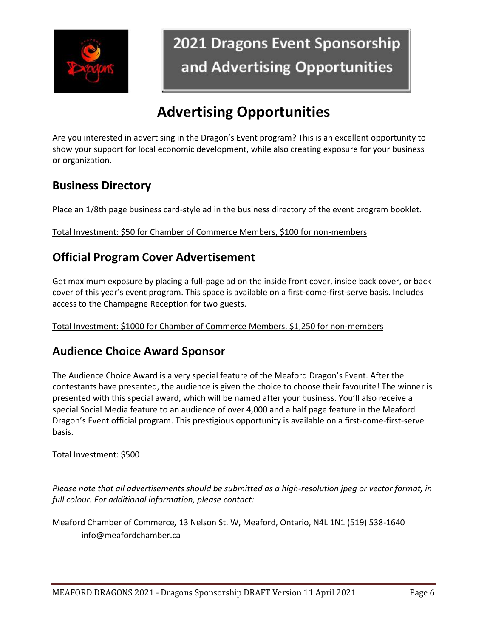

# **Advertising Opportunities**

Are you interested in advertising in the Dragon's Event program? This is an excellent opportunity to show your support for local economic development, while also creating exposure for your business or organization.

### **Business Directory**

Place an 1/8th page business card-style ad in the business directory of the event program booklet.

Total Investment: \$50 for Chamber of Commerce Members, \$100 for non-members

### **Official Program Cover Advertisement**

Get maximum exposure by placing a full-page ad on the inside front cover, inside back cover, or back cover of this year's event program. This space is available on a first-come-first-serve basis. Includes access to the Champagne Reception for two guests.

Total Investment: \$1000 for Chamber of Commerce Members, \$1,250 for non-members

### **Audience Choice Award Sponsor**

The Audience Choice Award is a very special feature of the Meaford Dragon's Event. After the contestants have presented, the audience is given the choice to choose their favourite! The winner is presented with this special award, which will be named after your business. You'll also receive a special Social Media feature to an audience of over 4,000 and a half page feature in the Meaford Dragon's Event official program. This prestigious opportunity is available on a first-come-first-serve basis.

#### Total Investment: \$500

*Please note that all advertisements should be submitted as a high-resolution jpeg or vector format, in full colour. For additional information, please contact:* 

Meaford Chamber of Commerce*,* 13 Nelson St. W, Meaford, Ontario, N4L 1N1 (519) 538-1640 info@meafordchamber.ca